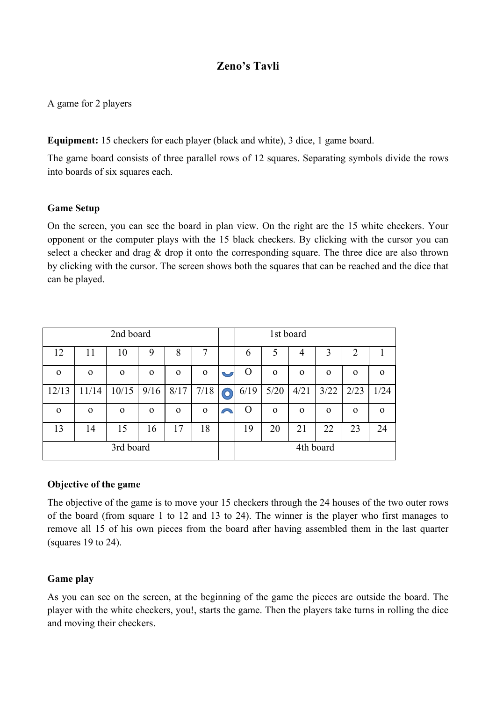# **Zeno's Tavli**

A game for 2 players

**Equipment:** 15 checkers for each player (black and white), 3 dice, 1 game board.

The game board consists of three parallel rows of 12 squares. Separating symbols divide the rows into boards of six squares each.

#### **Game Setup**

On the screen, you can see the board in plan view. On the right are the 15 white checkers. Your opponent or the computer plays with the 15 black checkers. By clicking with the cursor you can select a checker and drag & drop it onto the corresponding square. The three dice are also thrown by clicking with the cursor. The screen shows both the squares that can be reached and the dice that can be played.

| 2nd board   |              |          |          |          |          |  | 1st board        |          |          |          |                |             |
|-------------|--------------|----------|----------|----------|----------|--|------------------|----------|----------|----------|----------------|-------------|
| 12          | 11           | 10       | 9        | 8        | 7        |  | 6                | 5        | 4        | 3        | $\overline{2}$ |             |
| $\Omega$    | $\mathbf{0}$ | $\Omega$ | $\Omega$ | $\Omega$ | $\Omega$ |  | $\theta$         | $\Omega$ | $\Omega$ | $\Omega$ | $\Omega$       | $\Omega$    |
| 12/13       | 11/14        | 10/15    | 9/16     | 8/17     | 7/18     |  | 6/19             | $5/20$   | 4/21     | 3/22     | 2/23           | 1/24        |
| $\mathbf 0$ | $\Omega$     | $\Omega$ | $\Omega$ | $\Omega$ | $\Omega$ |  | $\left( \right)$ | $\Omega$ | $\Omega$ | $\Omega$ | $\Omega$       | $\mathbf 0$ |
| 13          | 14           | 15       | 16       | 17       | 18       |  | 19               | 20       | 21       | 22       | 23             | 24          |
| 3rd board   |              |          |          |          |          |  | 4th board        |          |          |          |                |             |

#### **Objective of the game**

The objective of the game is to move your 15 checkers through the 24 houses of the two outer rows of the board (from square 1 to 12 and 13 to 24). The winner is the player who first manages to remove all 15 of his own pieces from the board after having assembled them in the last quarter (squares 19 to 24).

### **Game play**

As you can see on the screen, at the beginning of the game the pieces are outside the board. The player with the white checkers, you!, starts the game. Then the players take turns in rolling the dice and moving their checkers.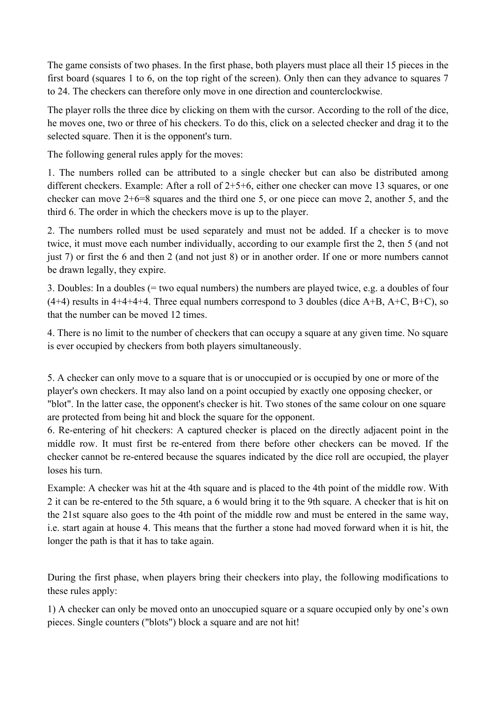The game consists of two phases. In the first phase, both players must place all their 15 pieces in the first board (squares 1 to 6, on the top right of the screen). Only then can they advance to squares 7 to 24. The checkers can therefore only move in one direction and counterclockwise.

The player rolls the three dice by clicking on them with the cursor. According to the roll of the dice, he moves one, two or three of his checkers. To do this, click on a selected checker and drag it to the selected square. Then it is the opponent's turn.

The following general rules apply for the moves:

1. The numbers rolled can be attributed to a single checker but can also be distributed among different checkers. Example: After a roll of 2+5+6, either one checker can move 13 squares, or one checker can move 2+6=8 squares and the third one 5, or one piece can move 2, another 5, and the third 6. The order in which the checkers move is up to the player.

2. The numbers rolled must be used separately and must not be added. If a checker is to move twice, it must move each number individually, according to our example first the 2, then 5 (and not just 7) or first the 6 and then 2 (and not just 8) or in another order. If one or more numbers cannot be drawn legally, they expire.

3. Doubles: In a doubles (= two equal numbers) the numbers are played twice, e.g. a doubles of four  $(4+4)$  results in  $4+4+4+4$ . Three equal numbers correspond to 3 doubles (dice A+B, A+C, B+C), so that the number can be moved 12 times.

4. There is no limit to the number of checkers that can occupy a square at any given time. No square is ever occupied by checkers from both players simultaneously.

5. A checker can only move to a square that is or unoccupied or is occupied by one or more of the player's own checkers. It may also land on a point occupied by exactly one opposing checker, or "blot". In the latter case, the opponent's checker is hit. Two stones of the same colour on one square are protected from being hit and block the square for the opponent.

6. Re-entering of hit checkers: A captured checker is placed on the directly adjacent point in the middle row. It must first be re-entered from there before other checkers can be moved. If the checker cannot be re-entered because the squares indicated by the dice roll are occupied, the player loses his turn.

Example: A checker was hit at the 4th square and is placed to the 4th point of the middle row. With 2 it can be re-entered to the 5th square, a 6 would bring it to the 9th square. A checker that is hit on the 21st square also goes to the 4th point of the middle row and must be entered in the same way, i.e. start again at house 4. This means that the further a stone had moved forward when it is hit, the longer the path is that it has to take again.

During the first phase, when players bring their checkers into play, the following modifications to these rules apply:

1) A checker can only be moved onto an unoccupied square or a square occupied only by one's own pieces. Single counters ("blots") block a square and are not hit!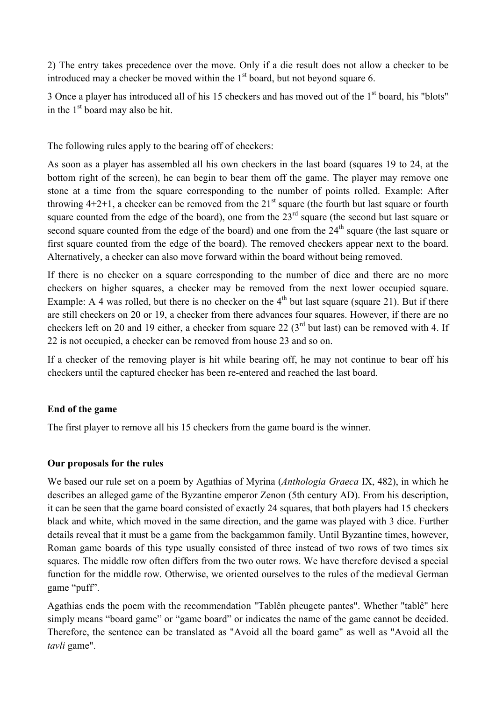2) The entry takes precedence over the move. Only if a die result does not allow a checker to be introduced may a checker be moved within the  $1<sup>st</sup>$  board, but not beyond square 6.

3 Once a player has introduced all of his 15 checkers and has moved out of the 1<sup>st</sup> board, his "blots" in the  $1<sup>st</sup>$  board may also be hit.

The following rules apply to the bearing off of checkers:

As soon as a player has assembled all his own checkers in the last board (squares 19 to 24, at the bottom right of the screen), he can begin to bear them off the game. The player may remove one stone at a time from the square corresponding to the number of points rolled. Example: After throwing  $4+2+1$ , a checker can be removed from the  $21<sup>st</sup>$  square (the fourth but last square or fourth square counted from the edge of the board), one from the  $23<sup>rd</sup>$  square (the second but last square or second square counted from the edge of the board) and one from the  $24<sup>th</sup>$  square (the last square or first square counted from the edge of the board). The removed checkers appear next to the board. Alternatively, a checker can also move forward within the board without being removed.

If there is no checker on a square corresponding to the number of dice and there are no more checkers on higher squares, a checker may be removed from the next lower occupied square. Example: A 4 was rolled, but there is no checker on the  $4<sup>th</sup>$  but last square (square 21). But if there are still checkers on 20 or 19, a checker from there advances four squares. However, if there are no checkers left on 20 and 19 either, a checker from square 22  $(3<sup>rd</sup>$  but last) can be removed with 4. If 22 is not occupied, a checker can be removed from house 23 and so on.

If a checker of the removing player is hit while bearing off, he may not continue to bear off his checkers until the captured checker has been re-entered and reached the last board.

## **End of the game**

The first player to remove all his 15 checkers from the game board is the winner.

### **Our proposals for the rules**

We based our rule set on a poem by Agathias of Myrina (*Anthologia Graeca* IX, 482), in which he describes an alleged game of the Byzantine emperor Zenon (5th century AD). From his description, it can be seen that the game board consisted of exactly 24 squares, that both players had 15 checkers black and white, which moved in the same direction, and the game was played with 3 dice. Further details reveal that it must be a game from the backgammon family. Until Byzantine times, however, Roman game boards of this type usually consisted of three instead of two rows of two times six squares. The middle row often differs from the two outer rows. We have therefore devised a special function for the middle row. Otherwise, we oriented ourselves to the rules of the medieval German game "puff".

Agathias ends the poem with the recommendation "Tablên pheugete pantes". Whether "tablê" here simply means "board game" or "game board" or indicates the name of the game cannot be decided. Therefore, the sentence can be translated as "Avoid all the board game" as well as "Avoid all the *tavli* game".